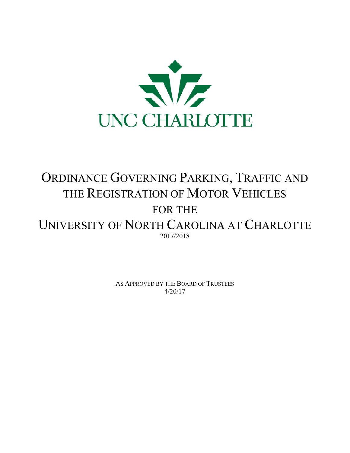

# ORDINANCE GOVERNING PARKING, TRAFFIC AND THE REGISTRATION OF MOTOR VEHICLES FOR THE UNIVERSITY OF NORTH CAROLINA AT CHARLOTTE 2017/2018

AS APPROVED BY THE BOARD OF TRUSTEES 4/20/17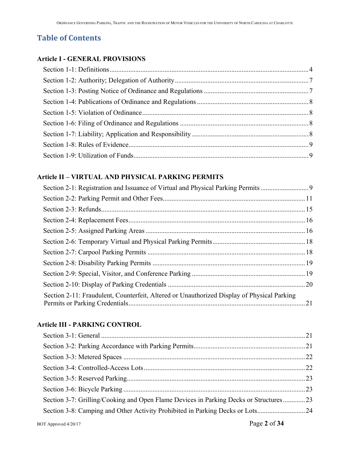# **Table of Contents**

#### **Article I - GENERAL PROVISIONS**

# **Article II – VIRTUAL AND PHYSICAL PARKING PERMITS**

| Section 2-1: Registration and Issuance of Virtual and Physical Parking Permits             |  |
|--------------------------------------------------------------------------------------------|--|
|                                                                                            |  |
|                                                                                            |  |
|                                                                                            |  |
|                                                                                            |  |
|                                                                                            |  |
|                                                                                            |  |
|                                                                                            |  |
|                                                                                            |  |
|                                                                                            |  |
| Section 2-11: Fraudulent, Counterfeit, Altered or Unauthorized Display of Physical Parking |  |

## **Article III - PARKING CONTROL**

| Section 3-7: Grilling/Cooking and Open Flame Devices in Parking Decks or Structures23 |  |
|---------------------------------------------------------------------------------------|--|
| Section 3-8: Camping and Other Activity Prohibited in Parking Decks or Lots24         |  |
|                                                                                       |  |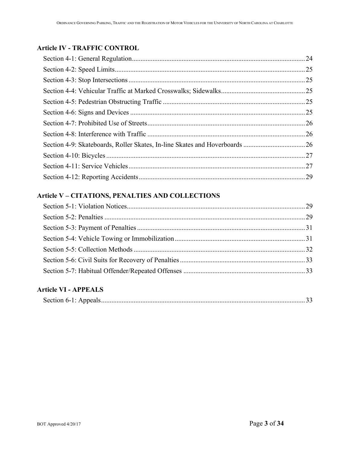# **Article IV - TRAFFIC CONTROL**

## **Article V – CITATIONS, PENALTIES AND COLLECTIONS**

# **Article VI - APPEALS**

|--|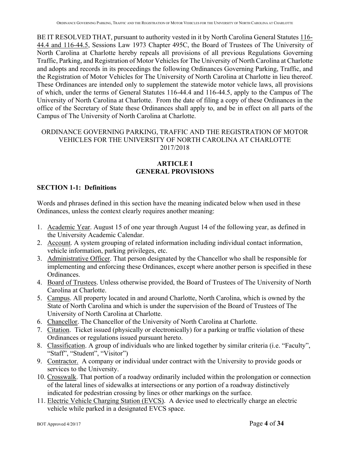BE IT RESOLVED THAT, pursuant to authority vested in it by North Carolina General Statutes 116-44.4 and 116-44.5, Sessions Law 1973 Chapter 495C, the Board of Trustees of The University of North Carolina at Charlotte hereby repeals all provisions of all previous Regulations Governing Traffic, Parking, and Registration of Motor Vehicles for The University of North Carolina at Charlotte and adopts and records in its proceedings the following Ordinances Governing Parking, Traffic, and the Registration of Motor Vehicles for The University of North Carolina at Charlotte in lieu thereof. These Ordinances are intended only to supplement the statewide motor vehicle laws, all provisions of which, under the terms of General Statutes 116-44.4 and 116-44.5, apply to the Campus of The University of North Carolina at Charlotte. From the date of filing a copy of these Ordinances in the office of the Secretary of State these Ordinances shall apply to, and be in effect on all parts of the Campus of The University of North Carolina at Charlotte.

## ORDINANCE GOVERNING PARKING, TRAFFIC AND THE REGISTRATION OF MOTOR VEHICLES FOR THE UNIVERSITY OF NORTH CAROLINA AT CHARLOTTE 2017/2018

## **ARTICLE I GENERAL PROVISIONS**

## **SECTION 1-1: Definitions**

Words and phrases defined in this section have the meaning indicated below when used in these Ordinances, unless the context clearly requires another meaning:

- 1. Academic Year. August 15 of one year through August 14 of the following year, as defined in the University Academic Calendar.
- 2. Account. A system grouping of related information including individual contact information, vehicle information, parking privileges, etc.
- 3. Administrative Officer. That person designated by the Chancellor who shall be responsible for implementing and enforcing these Ordinances, except where another person is specified in these Ordinances.
- 4. Board of Trustees. Unless otherwise provided, the Board of Trustees of The University of North Carolina at Charlotte.
- 5. Campus. All property located in and around Charlotte, North Carolina, which is owned by the State of North Carolina and which is under the supervision of the Board of Trustees of The University of North Carolina at Charlotte.
- 6. Chancellor. The Chancellor of the University of North Carolina at Charlotte.
- 7. Citation. Ticket issued (physically or electronically) for a parking or traffic violation of these Ordinances or regulations issued pursuant hereto.
- 8. Classification. A group of individuals who are linked together by similar criteria (i.e. "Faculty", "Staff", "Student", "Visitor")
- 9. Contractor. A company or individual under contract with the University to provide goods or services to the University.
- 10. Crosswalk. That portion of a roadway ordinarily included within the prolongation or connection of the lateral lines of sidewalks at intersections or any portion of a roadway distinctively indicated for pedestrian crossing by lines or other markings on the surface.
- 11. Electric Vehicle Charging Station (EVCS). A device used to electrically charge an electric vehicle while parked in a designated EVCS space.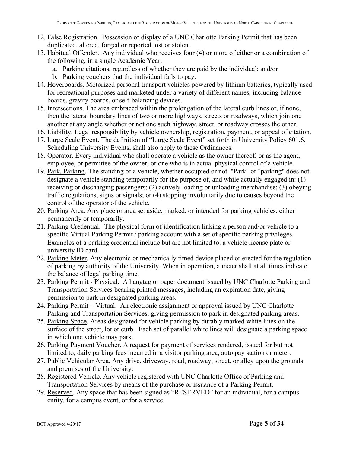- 12. False Registration. Possession or display of a UNC Charlotte Parking Permit that has been duplicated, altered, forged or reported lost or stolen.
- 13. Habitual Offender. Any individual who receives four (4) or more of either or a combination of the following, in a single Academic Year:
	- a. Parking citations, regardless of whether they are paid by the individual; and/or
	- b. Parking vouchers that the individual fails to pay.
- 14. Hoverboards. Motorized personal transport vehicles powered by lithium batteries, typically used for recreational purposes and marketed under a variety of different names, including balance boards, gravity boards, or self-balancing devices.
- 15. Intersections. The area embraced within the prolongation of the lateral curb lines or, if none, then the lateral boundary lines of two or more highways, streets or roadways, which join one another at any angle whether or not one such highway, street, or roadway crosses the other.
- 16. Liability. Legal responsibility by vehicle ownership, registration, payment, or appeal of citation.
- 17. Large Scale Event. The definition of "Large Scale Event" set forth in University Policy 601.6, Scheduling University Events, shall also apply to these Ordinances.
- 18. Operator. Every individual who shall operate a vehicle as the owner thereof; or as the agent, employee, or permittee of the owner; or one who is in actual physical control of a vehicle.
- 19. Park, Parking. The standing of a vehicle, whether occupied or not. "Park" or "parking" does not designate a vehicle standing temporarily for the purpose of, and while actually engaged in: (1) receiving or discharging passengers; (2) actively loading or unloading merchandise; (3) obeying traffic regulations, signs or signals; or (4) stopping involuntarily due to causes beyond the control of the operator of the vehicle.
- 20. Parking Area. Any place or area set aside, marked, or intended for parking vehicles, either permanently or temporarily.
- 21. Parking Credential. The physical form of identification linking a person and/or vehicle to a specific Virtual Parking Permit / parking account with a set of specific parking privileges. Examples of a parking credential include but are not limited to: a vehicle license plate or university ID card.
- 22. Parking Meter. Any electronic or mechanically timed device placed or erected for the regulation of parking by authority of the University. When in operation, a meter shall at all times indicate the balance of legal parking time.
- 23. Parking Permit Physical. A hangtag or paper document issued by UNC Charlotte Parking and Transportation Services bearing printed messages, including an expiration date, giving permission to park in designated parking areas.
- 24. Parking Permit Virtual. An electronic assignment or approval issued by UNC Charlotte Parking and Transportation Services, giving permission to park in designated parking areas.
- 25. Parking Space. Areas designated for vehicle parking by durably marked white lines on the surface of the street, lot or curb. Each set of parallel white lines will designate a parking space in which one vehicle may park.
- 26. Parking Payment Voucher. A request for payment of services rendered, issued for but not limited to, daily parking fees incurred in a visitor parking area, auto pay station or meter.
- 27. Public Vehicular Area. Any drive, driveway, road, roadway, street, or alley upon the grounds and premises of the University.
- 28. Registered Vehicle. Any vehicle registered with UNC Charlotte Office of Parking and Transportation Services by means of the purchase or issuance of a Parking Permit.
- 29. Reserved. Any space that has been signed as "RESERVED" for an individual, for a campus entity, for a campus event, or for a service.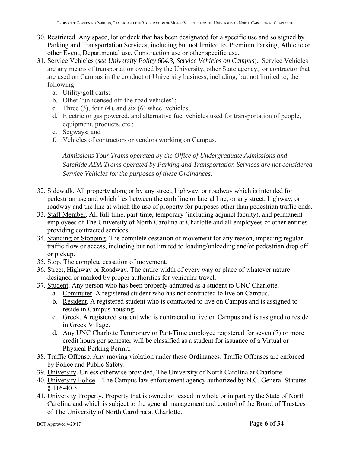- 30. Restricted. Any space, lot or deck that has been designated for a specific use and so signed by Parking and Transportation Services, including but not limited to, Premium Parking, Athletic or other Event, Departmental use, Construction use or other specific use.
- 31. Service Vehicles (*see University Policy 604.3, Service Vehicles on Campus*). Service Vehicles are any means of transportation owned by the University, other State agency, or contractor that are used on Campus in the conduct of University business, including, but not limited to, the following:
	- a. Utility/golf carts;
	- b. Other "unlicensed off-the-road vehicles";
	- c. Three  $(3)$ , four  $(4)$ , and six  $(6)$  wheel vehicles;
	- d. Electric or gas powered, and alternative fuel vehicles used for transportation of people, equipment, products, etc.;
	- e. Segways; and
	- f. Vehicles of contractors or vendors working on Campus.

*Admissions Tour Trams operated by the Office of Undergraduate Admissions and SafeRide ADA Trams operated by Parking and Transportation Services are not considered Service Vehicles for the purposes of these Ordinances.* 

- 32. Sidewalk. All property along or by any street, highway, or roadway which is intended for pedestrian use and which lies between the curb line or lateral line; or any street, highway, or roadway and the line at which the use of property for purposes other than pedestrian traffic ends.
- 33. Staff Member. All full-time, part-time, temporary (including adjunct faculty), and permanent employees of The University of North Carolina at Charlotte and all employees of other entities providing contracted services.
- 34. Standing or Stopping. The complete cessation of movement for any reason, impeding regular traffic flow or access, including but not limited to loading/unloading and/or pedestrian drop off or pickup.
- 35. Stop. The complete cessation of movement.
- 36. Street, Highway or Roadway. The entire width of every way or place of whatever nature designed or marked by proper authorities for vehicular travel.
- 37. Student. Any person who has been properly admitted as a student to UNC Charlotte.
	- a. Commuter. A registered student who has not contracted to live on Campus.
	- b. Resident. A registered student who is contracted to live on Campus and is assigned to reside in Campus housing.
	- c. Greek. A registered student who is contracted to live on Campus and is assigned to reside in Greek Village.
	- d. Any UNC Charlotte Temporary or Part-Time employee registered for seven (7) or more credit hours per semester will be classified as a student for issuance of a Virtual or Physical Perking Permit.
- 38. Traffic Offense. Any moving violation under these Ordinances. Traffic Offenses are enforced by Police and Public Safety.
- 39. University. Unless otherwise provided, The University of North Carolina at Charlotte.
- 40. University Police. The Campus law enforcement agency authorized by N.C. General Statutes § 116-40.5.
- 41. University Property. Property that is owned or leased in whole or in part by the State of North Carolina and which is subject to the general management and control of the Board of Trustees of The University of North Carolina at Charlotte.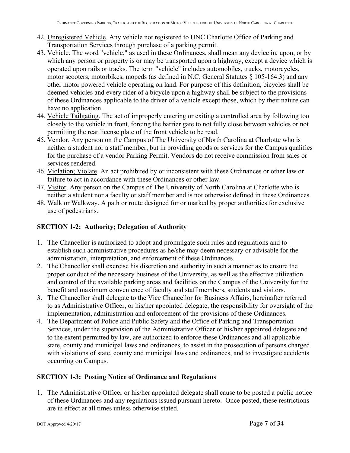- 42. Unregistered Vehicle. Any vehicle not registered to UNC Charlotte Office of Parking and Transportation Services through purchase of a parking permit.
- 43. Vehicle. The word "vehicle," as used in these Ordinances, shall mean any device in, upon, or by which any person or property is or may be transported upon a highway, except a device which is operated upon rails or tracks. The term "vehicle" includes automobiles, trucks, motorcycles, motor scooters, motorbikes, mopeds (as defined in N.C. General Statutes § 105-164.3) and any other motor powered vehicle operating on land. For purpose of this definition, bicycles shall be deemed vehicles and every rider of a bicycle upon a highway shall be subject to the provisions of these Ordinances applicable to the driver of a vehicle except those, which by their nature can have no application.
- 44. Vehicle Tailgating. The act of improperly entering or exiting a controlled area by following too closely to the vehicle in front, forcing the barrier gate to not fully close between vehicles or not permitting the rear license plate of the front vehicle to be read.
- 45. Vendor. Any person on the Campus of The University of North Carolina at Charlotte who is neither a student nor a staff member, but in providing goods or services for the Campus qualifies for the purchase of a vendor Parking Permit. Vendors do not receive commission from sales or services rendered.
- 46. Violation; Violate. An act prohibited by or inconsistent with these Ordinances or other law or failure to act in accordance with these Ordinances or other law.
- 47. Visitor. Any person on the Campus of The University of North Carolina at Charlotte who is neither a student nor a faculty or staff member and is not otherwise defined in these Ordinances.
- 48. Walk or Walkway. A path or route designed for or marked by proper authorities for exclusive use of pedestrians.

## **SECTION 1-2: Authority; Delegation of Authority**

- 1. The Chancellor is authorized to adopt and promulgate such rules and regulations and to establish such administrative procedures as he/she may deem necessary or advisable for the administration, interpretation, and enforcement of these Ordinances.
- 2. The Chancellor shall exercise his discretion and authority in such a manner as to ensure the proper conduct of the necessary business of the University, as well as the effective utilization and control of the available parking areas and facilities on the Campus of the University for the benefit and maximum convenience of faculty and staff members, students and visitors.
- 3. The Chancellor shall delegate to the Vice Chancellor for Business Affairs, hereinafter referred to as Administrative Officer, or his/her appointed delegate, the responsibility for oversight of the implementation, administration and enforcement of the provisions of these Ordinances.
- 4. The Department of Police and Public Safety and the Office of Parking and Transportation Services, under the supervision of the Administrative Officer or his/her appointed delegate and to the extent permitted by law, are authorized to enforce these Ordinances and all applicable state, county and municipal laws and ordinances, to assist in the prosecution of persons charged with violations of state, county and municipal laws and ordinances, and to investigate accidents occurring on Campus.

#### **SECTION 1-3: Posting Notice of Ordinance and Regulations**

1. The Administrative Officer or his/her appointed delegate shall cause to be posted a public notice of these Ordinances and any regulations issued pursuant hereto. Once posted, these restrictions are in effect at all times unless otherwise stated.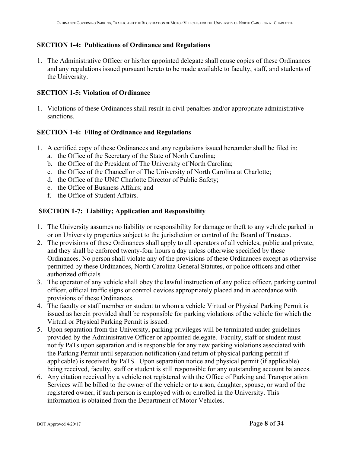#### **SECTION 1-4: Publications of Ordinance and Regulations**

1. The Administrative Officer or his/her appointed delegate shall cause copies of these Ordinances and any regulations issued pursuant hereto to be made available to faculty, staff, and students of the University.

#### **SECTION 1-5: Violation of Ordinance**

1. Violations of these Ordinances shall result in civil penalties and/or appropriate administrative sanctions.

#### **SECTION 1-6: Filing of Ordinance and Regulations**

- 1. A certified copy of these Ordinances and any regulations issued hereunder shall be filed in:
	- a. the Office of the Secretary of the State of North Carolina;
	- b. the Office of the President of The University of North Carolina;
	- c. the Office of the Chancellor of The University of North Carolina at Charlotte;
	- d. the Office of the UNC Charlotte Director of Public Safety;
	- e. the Office of Business Affairs; and
	- f. the Office of Student Affairs.

#### **SECTION 1-7: Liability; Application and Responsibility**

- 1. The University assumes no liability or responsibility for damage or theft to any vehicle parked in or on University properties subject to the jurisdiction or control of the Board of Trustees.
- 2. The provisions of these Ordinances shall apply to all operators of all vehicles, public and private, and they shall be enforced twenty-four hours a day unless otherwise specified by these Ordinances. No person shall violate any of the provisions of these Ordinances except as otherwise permitted by these Ordinances, North Carolina General Statutes, or police officers and other authorized officials
- 3. The operator of any vehicle shall obey the lawful instruction of any police officer, parking control officer, official traffic signs or control devices appropriately placed and in accordance with provisions of these Ordinances.
- 4. The faculty or staff member or student to whom a vehicle Virtual or Physical Parking Permit is issued as herein provided shall be responsible for parking violations of the vehicle for which the Virtual or Physical Parking Permit is issued.
- 5. Upon separation from the University, parking privileges will be terminated under guidelines provided by the Administrative Officer or appointed delegate. Faculty, staff or student must notify PaTs upon separation and is responsible for any new parking violations associated with the Parking Permit until separation notification (and return of physical parking permit if applicable) is received by PaTS. Upon separation notice and physical permit (if applicable) being received, faculty, staff or student is still responsible for any outstanding account balances.
- 6. Any citation received by a vehicle not registered with the Office of Parking and Transportation Services will be billed to the owner of the vehicle or to a son, daughter, spouse, or ward of the registered owner, if such person is employed with or enrolled in the University. This information is obtained from the Department of Motor Vehicles.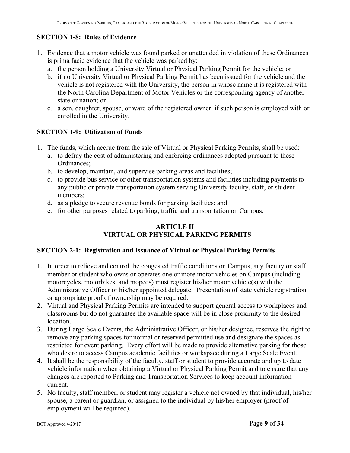## **SECTION 1-8: Rules of Evidence**

- 1. Evidence that a motor vehicle was found parked or unattended in violation of these Ordinances is prima facie evidence that the vehicle was parked by:
	- a. the person holding a University Virtual or Physical Parking Permit for the vehicle; or
	- b. if no University Virtual or Physical Parking Permit has been issued for the vehicle and the vehicle is not registered with the University, the person in whose name it is registered with the North Carolina Department of Motor Vehicles or the corresponding agency of another state or nation; or
	- c. a son, daughter, spouse, or ward of the registered owner, if such person is employed with or enrolled in the University.

## **SECTION 1-9: Utilization of Funds**

- 1. The funds, which accrue from the sale of Virtual or Physical Parking Permits, shall be used:
	- a. to defray the cost of administering and enforcing ordinances adopted pursuant to these Ordinances;
	- b. to develop, maintain, and supervise parking areas and facilities;
	- c. to provide bus service or other transportation systems and facilities including payments to any public or private transportation system serving University faculty, staff, or student members;
	- d. as a pledge to secure revenue bonds for parking facilities; and
	- e. for other purposes related to parking, traffic and transportation on Campus.

## **ARTICLE II VIRTUAL OR PHYSICAL PARKING PERMITS**

## **SECTION 2-1: Registration and Issuance of Virtual or Physical Parking Permits**

- 1. In order to relieve and control the congested traffic conditions on Campus, any faculty or staff member or student who owns or operates one or more motor vehicles on Campus (including motorcycles, motorbikes, and mopeds) must register his/her motor vehicle(s) with the Administrative Officer or his/her appointed delegate. Presentation of state vehicle registration or appropriate proof of ownership may be required.
- 2. Virtual and Physical Parking Permits are intended to support general access to workplaces and classrooms but do not guarantee the available space will be in close proximity to the desired location.
- 3. During Large Scale Events, the Administrative Officer, or his/her designee, reserves the right to remove any parking spaces for normal or reserved permitted use and designate the spaces as restricted for event parking. Every effort will be made to provide alternative parking for those who desire to access Campus academic facilities or workspace during a Large Scale Event.
- 4. It shall be the responsibility of the faculty, staff or student to provide accurate and up to date vehicle information when obtaining a Virtual or Physical Parking Permit and to ensure that any changes are reported to Parking and Transportation Services to keep account information current.
- 5. No faculty, staff member, or student may register a vehicle not owned by that individual, his/her spouse, a parent or guardian, or assigned to the individual by his/her employer (proof of employment will be required).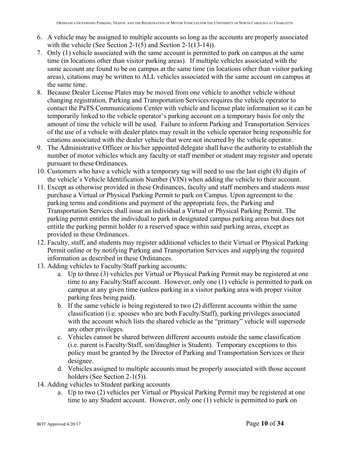- 6. A vehicle may be assigned to multiple accounts so long as the accounts are properly associated with the vehicle (See Section 2-1(5) and Section 2-1(13-14)).
- 7. Only (1) vehicle associated with the same account is permitted to park on campus at the same time (in locations other than visitor parking areas). If multiple vehicles associated with the same account are found to be on campus at the same time (in locations other than visitor parking areas), citations may be written to ALL vehicles associated with the same account on campus at the same time.
- 8. Because Dealer License Plates may be moved from one vehicle to another vehicle without changing registration, Parking and Transportation Services requires the vehicle operator to contact the PaTS Communications Center with vehicle and license plate information so it can be temporarily linked to the vehicle operator's parking account on a temporary basis for only the amount of time the vehicle will be used. Failure to inform Parking and Transportation Services of the use of a vehicle with dealer plates may result in the vehicle operator being responsible for citations associated with the dealer vehicle that were not incurred by the vehicle operator.
- 9. The Administrative Officer or his/her appointed delegate shall have the authority to establish the number of motor vehicles which any faculty or staff member or student may register and operate pursuant to these Ordinances.
- 10. Customers who have a vehicle with a temporary tag will need to use the last eight (8) digits of the vehicle's Vehicle Identification Number (VIN) when adding the vehicle to their account.
- 11. Except as otherwise provided in these Ordinances, faculty and staff members and students *must* purchase a Virtual or Physical Parking Permit to park on Campus. Upon agreement to the parking terms and conditions and payment of the appropriate fees, the Parking and Transportation Services shall issue an individual a Virtual or Physical Parking Permit. The parking permit entitles the individual to park in designated campus parking areas but does not entitle the parking permit holder to a reserved space within said parking areas, except as provided in these Ordinances.
- 12. Faculty, staff, and students may register additional vehicles to their Virtual or Physical Parking Permit online or by notifying Parking and Transportation Services and supplying the required information as described in these Ordinances.
- 13. Adding vehicles to Faculty/Staff parking accounts:
	- a. Up to three (3) vehicles per Virtual or Physical Parking Permit may be registered at one time to any Faculty/Staff account. However, only one (1) vehicle is permitted to park on campus at any given time (unless parking in a visitor parking area with proper visitor parking fees being paid).
	- b. If the same vehicle is being registered to two (2) different accounts within the same classification (i.e. spouses who are both Faculty/Staff), parking privileges associated with the account which lists the shared vehicle as the "primary" vehicle will supersede any other privileges.
	- c. Vehicles cannot be shared between different accounts outside the same classification (i.e. parent is Faculty/Staff, son/daughter is Student). Temporary exceptions to this policy must be granted by the Director of Parking and Transportation Services or their designee.
	- d. Vehicles assigned to multiple accounts must be properly associated with those account holders (See Section 2-1(5)).
- 14. Adding vehicles to Student parking accounts
	- a. Up to two (2) vehicles per Virtual or Physical Parking Permit may be registered at one time to any Student account. However, only one (1) vehicle is permitted to park on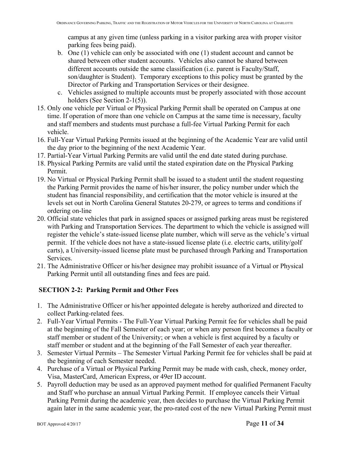campus at any given time (unless parking in a visitor parking area with proper visitor parking fees being paid).

- b. One (1) vehicle can only be associated with one (1) student account and cannot be shared between other student accounts. Vehicles also cannot be shared between different accounts outside the same classification (i.e. parent is Faculty/Staff, son/daughter is Student). Temporary exceptions to this policy must be granted by the Director of Parking and Transportation Services or their designee.
- c. Vehicles assigned to multiple accounts must be properly associated with those account holders (See Section 2-1(5)).
- 15. Only one vehicle per Virtual or Physical Parking Permit shall be operated on Campus at one time. If operation of more than one vehicle on Campus at the same time is necessary, faculty and staff members and students must purchase a full-fee Virtual Parking Permit for each vehicle.
- 16. Full-Year Virtual Parking Permits issued at the beginning of the Academic Year are valid until the day prior to the beginning of the next Academic Year.
- 17. Partial-Year Virtual Parking Permits are valid until the end date stated during purchase.
- 18. Physical Parking Permits are valid until the stated expiration date on the Physical Parking Permit.
- 19. No Virtual or Physical Parking Permit shall be issued to a student until the student requesting the Parking Permit provides the name of his/her insurer, the policy number under which the student has financial responsibility, and certification that the motor vehicle is insured at the levels set out in North Carolina General Statutes 20-279, or agrees to terms and conditions if ordering on-line
- 20. Official state vehicles that park in assigned spaces or assigned parking areas must be registered with Parking and Transportation Services. The department to which the vehicle is assigned will register the vehicle's state-issued license plate number, which will serve as the vehicle's virtual permit. If the vehicle does not have a state-issued license plate (i.e. electric carts, utility/golf carts), a University-issued license plate must be purchased through Parking and Transportation Services.
- 21. The Administrative Officer or his/her designee may prohibit issuance of a Virtual or Physical Parking Permit until all outstanding fines and fees are paid.

# **SECTION 2-2: Parking Permit and Other Fees**

- 1. The Administrative Officer or his/her appointed delegate is hereby authorized and directed to collect Parking-related fees.
- 2. Full-Year Virtual Permits The Full-Year Virtual Parking Permit fee for vehicles shall be paid at the beginning of the Fall Semester of each year; or when any person first becomes a faculty or staff member or student of the University; or when a vehicle is first acquired by a faculty or staff member or student and at the beginning of the Fall Semester of each year thereafter.
- 3. Semester Virtual Permits The Semester Virtual Parking Permit fee for vehicles shall be paid at the beginning of each Semester needed.
- 4. Purchase of a Virtual or Physical Parking Permit may be made with cash, check, money order, Visa, MasterCard, American Express, or 49er ID account.
- 5. Payroll deduction may be used as an approved payment method for qualified Permanent Faculty and Staff who purchase an annual Virtual Parking Permit. If employee cancels their Virtual Parking Permit during the academic year, then decides to purchase the Virtual Parking Permit again later in the same academic year, the pro-rated cost of the new Virtual Parking Permit must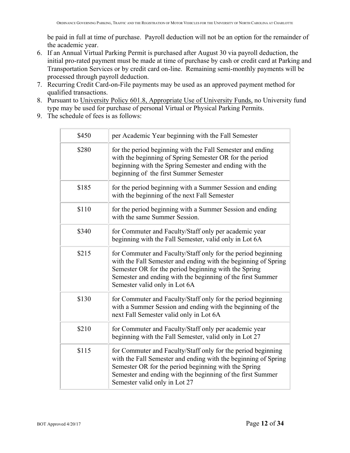be paid in full at time of purchase. Payroll deduction will not be an option for the remainder of the academic year.

- 6. If an Annual Virtual Parking Permit is purchased after August 30 via payroll deduction, the initial pro-rated payment must be made at time of purchase by cash or credit card at Parking and Transportation Services or by credit card on-line. Remaining semi-monthly payments will be processed through payroll deduction.
- 7. Recurring Credit Card-on-File payments may be used as an approved payment method for qualified transactions.
- 8. Pursuant to University Policy 601.8, Appropriate Use of University Funds, no University fund type may be used for purchase of personal Virtual or Physical Parking Permits.
- 9. The schedule of fees is as follows:

| \$450 | per Academic Year beginning with the Fall Semester                                                                                                                                                                                                                                    |  |
|-------|---------------------------------------------------------------------------------------------------------------------------------------------------------------------------------------------------------------------------------------------------------------------------------------|--|
| \$280 | for the period beginning with the Fall Semester and ending<br>with the beginning of Spring Semester OR for the period<br>beginning with the Spring Semester and ending with the<br>beginning of the first Summer Semester                                                             |  |
| \$185 | for the period beginning with a Summer Session and ending<br>with the beginning of the next Fall Semester                                                                                                                                                                             |  |
| \$110 | for the period beginning with a Summer Session and ending<br>with the same Summer Session.                                                                                                                                                                                            |  |
| \$340 | for Commuter and Faculty/Staff only per academic year<br>beginning with the Fall Semester, valid only in Lot 6A                                                                                                                                                                       |  |
| \$215 | for Commuter and Faculty/Staff only for the period beginning<br>with the Fall Semester and ending with the beginning of Spring<br>Semester OR for the period beginning with the Spring<br>Semester and ending with the beginning of the first Summer<br>Semester valid only in Lot 6A |  |
| \$130 | for Commuter and Faculty/Staff only for the period beginning<br>with a Summer Session and ending with the beginning of the<br>next Fall Semester valid only in Lot 6A                                                                                                                 |  |
| \$210 | for Commuter and Faculty/Staff only per academic year<br>beginning with the Fall Semester, valid only in Lot 27                                                                                                                                                                       |  |
| \$115 | for Commuter and Faculty/Staff only for the period beginning<br>with the Fall Semester and ending with the beginning of Spring<br>Semester OR for the period beginning with the Spring<br>Semester and ending with the beginning of the first Summer<br>Semester valid only in Lot 27 |  |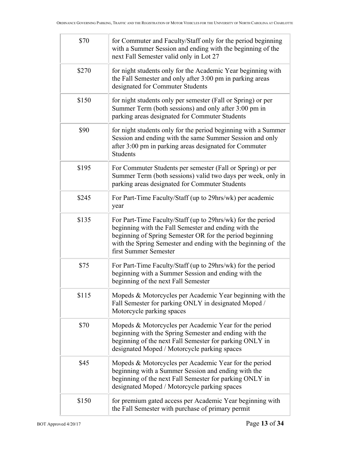| \$70  | for Commuter and Faculty/Staff only for the period beginning<br>with a Summer Session and ending with the beginning of the<br>next Fall Semester valid only in Lot 27                                                                                                     |
|-------|---------------------------------------------------------------------------------------------------------------------------------------------------------------------------------------------------------------------------------------------------------------------------|
| \$270 | for night students only for the Academic Year beginning with<br>the Fall Semester and only after 3:00 pm in parking areas<br>designated for Commuter Students                                                                                                             |
| \$150 | for night students only per semester (Fall or Spring) or per<br>Summer Term (both sessions) and only after 3:00 pm in<br>parking areas designated for Commuter Students                                                                                                   |
| \$90  | for night students only for the period beginning with a Summer<br>Session and ending with the same Summer Session and only<br>after 3:00 pm in parking areas designated for Commuter<br><b>Students</b>                                                                   |
| \$195 | For Commuter Students per semester (Fall or Spring) or per<br>Summer Term (both sessions) valid two days per week, only in<br>parking areas designated for Commuter Students                                                                                              |
| \$245 | For Part-Time Faculty/Staff (up to 29hrs/wk) per academic<br>year                                                                                                                                                                                                         |
| \$135 | For Part-Time Faculty/Staff (up to 29hrs/wk) for the period<br>beginning with the Fall Semester and ending with the<br>beginning of Spring Semester OR for the period beginning<br>with the Spring Semester and ending with the beginning of the<br>first Summer Semester |
| \$75  | For Part-Time Faculty/Staff (up to 29hrs/wk) for the period<br>beginning with a Summer Session and ending with the<br>beginning of the next Fall Semester                                                                                                                 |
| \$115 | Mopeds & Motorcycles per Academic Year beginning with the<br>Fall Semester for parking ONLY in designated Moped /<br>Motorcycle parking spaces                                                                                                                            |
| \$70  | Mopeds & Motorcycles per Academic Year for the period<br>beginning with the Spring Semester and ending with the<br>beginning of the next Fall Semester for parking ONLY in<br>designated Moped / Motorcycle parking spaces                                                |
| \$45  | Mopeds & Motorcycles per Academic Year for the period<br>beginning with a Summer Session and ending with the<br>beginning of the next Fall Semester for parking ONLY in<br>designated Moped / Motorcycle parking spaces                                                   |
| \$150 | for premium gated access per Academic Year beginning with<br>the Fall Semester with purchase of primary permit                                                                                                                                                            |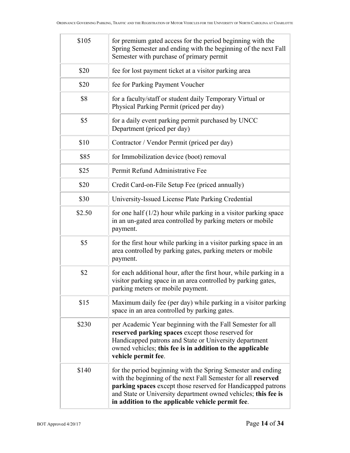| \$105  | for premium gated access for the period beginning with the<br>Spring Semester and ending with the beginning of the next Fall<br>Semester with purchase of primary permit                                                                                                                                             |  |
|--------|----------------------------------------------------------------------------------------------------------------------------------------------------------------------------------------------------------------------------------------------------------------------------------------------------------------------|--|
| \$20   | fee for lost payment ticket at a visitor parking area                                                                                                                                                                                                                                                                |  |
| \$20   | fee for Parking Payment Voucher                                                                                                                                                                                                                                                                                      |  |
| \$8    | for a faculty/staff or student daily Temporary Virtual or<br>Physical Parking Permit (priced per day)                                                                                                                                                                                                                |  |
| \$5    | for a daily event parking permit purchased by UNCC<br>Department (priced per day)                                                                                                                                                                                                                                    |  |
| \$10   | Contractor / Vendor Permit (priced per day)                                                                                                                                                                                                                                                                          |  |
| \$85   | for Immobilization device (boot) removal                                                                                                                                                                                                                                                                             |  |
| \$25   | Permit Refund Administrative Fee                                                                                                                                                                                                                                                                                     |  |
| \$20   | Credit Card-on-File Setup Fee (priced annually)                                                                                                                                                                                                                                                                      |  |
| \$30   | University-Issued License Plate Parking Credential                                                                                                                                                                                                                                                                   |  |
| \$2.50 | for one half $(1/2)$ hour while parking in a visitor parking space<br>in an un-gated area controlled by parking meters or mobile<br>payment.                                                                                                                                                                         |  |
| \$5    | for the first hour while parking in a visitor parking space in an<br>area controlled by parking gates, parking meters or mobile<br>payment.                                                                                                                                                                          |  |
| \$2    | for each additional hour, after the first hour, while parking in a<br>visitor parking space in an area controlled by parking gates,<br>parking meters or mobile payment.                                                                                                                                             |  |
| \$15   | Maximum daily fee (per day) while parking in a visitor parking<br>space in an area controlled by parking gates.                                                                                                                                                                                                      |  |
| \$230  | per Academic Year beginning with the Fall Semester for all<br>reserved parking spaces except those reserved for<br>Handicapped patrons and State or University department<br>owned vehicles; this fee is in addition to the applicable<br>vehicle permit fee.                                                        |  |
| \$140  | for the period beginning with the Spring Semester and ending<br>with the beginning of the next Fall Semester for all reserved<br>parking spaces except those reserved for Handicapped patrons<br>and State or University department owned vehicles; this fee is<br>in addition to the applicable vehicle permit fee. |  |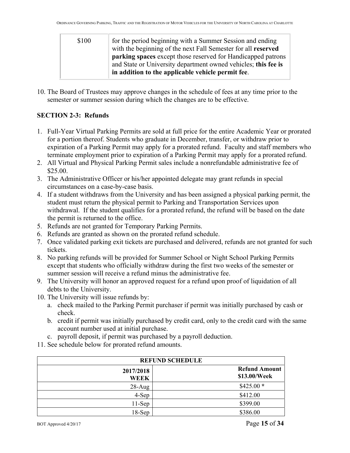| \$100 | for the period beginning with a Summer Session and ending<br>with the beginning of the next Fall Semester for all reserved |
|-------|----------------------------------------------------------------------------------------------------------------------------|
|       | <b>parking spaces</b> except those reserved for Handicapped patrons                                                        |
|       | and State or University department owned vehicles; this fee is<br>in addition to the applicable vehicle permit fee.        |

10. The Board of Trustees may approve changes in the schedule of fees at any time prior to the semester or summer session during which the changes are to be effective.

## **SECTION 2-3: Refunds**

- 1. Full-Year Virtual Parking Permits are sold at full price for the entire Academic Year or prorated for a portion thereof. Students who graduate in December, transfer, or withdraw prior to expiration of a Parking Permit may apply for a prorated refund. Faculty and staff members who terminate employment prior to expiration of a Parking Permit may apply for a prorated refund.
- 2. All Virtual and Physical Parking Permit sales include a nonrefundable administrative fee of \$25.00.
- 3. The Administrative Officer or his/her appointed delegate may grant refunds in special circumstances on a case-by-case basis.
- 4. If a student withdraws from the University and has been assigned a physical parking permit, the student must return the physical permit to Parking and Transportation Services upon withdrawal. If the student qualifies for a prorated refund, the refund will be based on the date the permit is returned to the office.
- 5. Refunds are not granted for Temporary Parking Permits.
- 6. Refunds are granted as shown on the prorated refund schedule.
- 7. Once validated parking exit tickets are purchased and delivered, refunds are not granted for such tickets.
- 8. No parking refunds will be provided for Summer School or Night School Parking Permits except that students who officially withdraw during the first two weeks of the semester or summer session will receive a refund minus the administrative fee.
- 9. The University will honor an approved request for a refund upon proof of liquidation of all debts to the University.
- 10. The University will issue refunds by:
	- a. check mailed to the Parking Permit purchaser if permit was initially purchased by cash or check.
	- b. credit if permit was initially purchased by credit card, only to the credit card with the same account number used at initial purchase.
	- c. payroll deposit, if permit was purchased by a payroll deduction.
- 11. See schedule below for prorated refund amounts.

| <b>REFUND SCHEDULE</b>   |                                      |  |
|--------------------------|--------------------------------------|--|
| 2017/2018<br><b>WEEK</b> | <b>Refund Amount</b><br>\$13.00/Week |  |
| $28-Aug$                 | $$425.00*$                           |  |
| 4-Sep                    | \$412.00                             |  |
| $11-Sep$                 | \$399.00                             |  |
| $18-Sep$                 | \$386.00                             |  |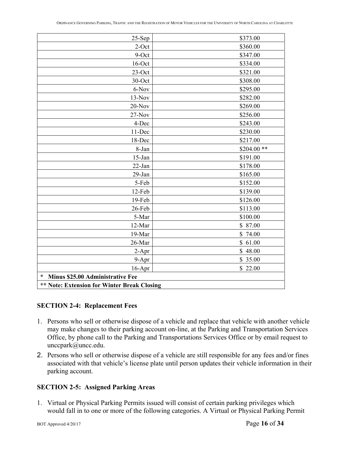| $25-Sep$                                           | \$373.00    |  |
|----------------------------------------------------|-------------|--|
| $2$ -Oct                                           | \$360.00    |  |
| 9-Oct                                              | \$347.00    |  |
| $16$ -Oct                                          | \$334.00    |  |
| $23$ -Oct                                          | \$321.00    |  |
| 30-Oct                                             | \$308.00    |  |
| 6-Nov                                              | \$295.00    |  |
| $13-Nov$                                           | \$282.00    |  |
| $20$ -Nov                                          | \$269.00    |  |
| $27-Nov$                                           | \$256.00    |  |
| 4-Dec                                              | \$243.00    |  |
| 11-Dec                                             | \$230.00    |  |
| 18-Dec                                             | \$217.00    |  |
| 8-Jan                                              | $$204.00**$ |  |
| $15$ -Jan                                          | \$191.00    |  |
| 22-Jan                                             | \$178.00    |  |
| $29$ -Jan                                          | \$165.00    |  |
| 5-Feb                                              | \$152.00    |  |
| 12-Feb                                             | \$139.00    |  |
| 19-Feb                                             | \$126.00    |  |
| 26-Feb                                             | \$113.00    |  |
| 5-Mar                                              | \$100.00    |  |
| 12-Mar                                             | \$87.00     |  |
| 19-Mar                                             | \$74.00     |  |
| 26-Mar                                             | \$61.00     |  |
| $2-Apr$                                            | \$48.00     |  |
| 9-Apr                                              | \$35.00     |  |
| $16$ -Apr                                          | \$22.00     |  |
| $\ast$<br>Minus \$25.00 Administrative Fee         |             |  |
| <b>** Note: Extension for Winter Break Closing</b> |             |  |

#### **SECTION 2-4: Replacement Fees**

- 1. Persons who sell or otherwise dispose of a vehicle and replace that vehicle with another vehicle may make changes to their parking account on-line, at the Parking and Transportation Services Office, by phone call to the Parking and Transportations Services Office or by email request to unccpark@uncc.edu.
- 2. Persons who sell or otherwise dispose of a vehicle are still responsible for any fees and/or fines associated with that vehicle's license plate until person updates their vehicle information in their parking account.

#### **SECTION 2-5: Assigned Parking Areas**

1. Virtual or Physical Parking Permits issued will consist of certain parking privileges which would fall in to one or more of the following categories. A Virtual or Physical Parking Permit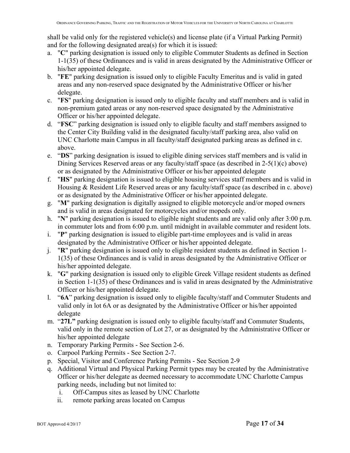shall be valid only for the registered vehicle(s) and license plate (if a Virtual Parking Permit) and for the following designated area(s) for which it is issued:

- a. "**C**" parking designation is issued only to eligible Commuter Students as defined in Section 1-1(35) of these Ordinances and is valid in areas designated by the Administrative Officer or his/her appointed delegate.
- b. "**FE**" parking designation is issued only to eligible Faculty Emeritus and is valid in gated areas and any non-reserved space designated by the Administrative Officer or his/her delegate.
- c. "**FS**" parking designation is issued only to eligible faculty and staff members and is valid in non-premium gated areas or any non-reserved space designated by the Administrative Officer or his/her appointed delegate.
- d. "**FSC**" parking designation is issued only to eligible faculty and staff members assigned to the Center City Building valid in the designated faculty/staff parking area, also valid on UNC Charlotte main Campus in all faculty/staff designated parking areas as defined in c. above.
- e. "**DS**" parking designation is issued to eligible dining services staff members and is valid in Dining Services Reserved areas or any faculty/staff space (as described in 2-5(1)(c) above) or as designated by the Administrative Officer or his/her appointed delegate
- f. "**HS**" parking designation is issued to eligible housing services staff members and is valid in Housing & Resident Life Reserved areas or any faculty/staff space (as described in c. above) or as designated by the Administrative Officer or his/her appointed delegate.
- g. "**M**" parking designation is digitally assigned to eligible motorcycle and/or moped owners and is valid in areas designated for motorcycles and/or mopeds only.
- h. "**N**" parking designation is issued to eligible night students and are valid only after 3:00 p.m. in commuter lots and from 6:00 p.m. until midnight in available commuter and resident lots.
- i. "**P**" parking designation is issued to eligible part-time employees and is valid in areas designated by the Administrative Officer or his/her appointed delegate.
- j. "**R**" parking designation is issued only to eligible resident students as defined in Section 1- 1(35) of these Ordinances and is valid in areas designated by the Administrative Officer or his/her appointed delegate.
- k. "**G**" parking designation is issued only to eligible Greek Village resident students as defined in Section 1-1(35) of these Ordinances and is valid in areas designated by the Administrative Officer or his/her appointed delegate.
- l. "**6A**" parking designation is issued only to eligible faculty/staff and Commuter Students and valid only in lot 6A or as designated by the Administrative Officer or his/her appointed delegate
- m. "**27L"** parking designation is issued only to eligible faculty/staff and Commuter Students, valid only in the remote section of Lot 27, or as designated by the Administrative Officer or his/her appointed delegate
- n. Temporary Parking Permits See Section 2-6.
- o. Carpool Parking Permits See Section 2-7.
- p. Special, Visitor and Conference Parking Permits See Section 2-9
- q. Additional Virtual and Physical Parking Permit types may be created by the Administrative Officer or his/her delegate as deemed necessary to accommodate UNC Charlotte Campus parking needs, including but not limited to:
	- i. Off-Campus sites as leased by UNC Charlotte
	- ii. remote parking areas located on Campus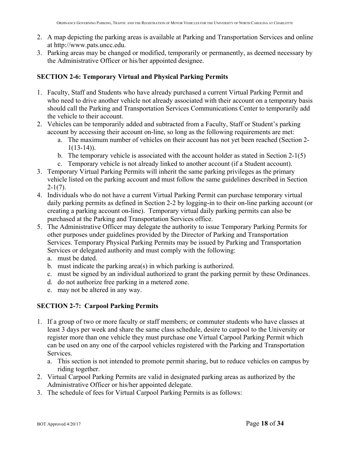- 2. A map depicting the parking areas is available at Parking and Transportation Services and online at http://www.pats.uncc.edu.
- 3. Parking areas may be changed or modified, temporarily or permanently, as deemed necessary by the Administrative Officer or his/her appointed designee.

#### **SECTION 2-6: Temporary Virtual and Physical Parking Permits**

- 1. Faculty, Staff and Students who have already purchased a current Virtual Parking Permit and who need to drive another vehicle not already associated with their account on a temporary basis should call the Parking and Transportation Services Communications Center to temporarily add the vehicle to their account.
- 2. Vehicles can be temporarily added and subtracted from a Faculty, Staff or Student's parking account by accessing their account on-line, so long as the following requirements are met:
	- a. The maximum number of vehicles on their account has not yet been reached (Section 2-  $1(13-14)$ .
	- b. The temporary vehicle is associated with the account holder as stated in Section 2-1(5)
	- c. Temporary vehicle is not already linked to another account (if a Student account).
- 3. Temporary Virtual Parking Permits will inherit the same parking privileges as the primary vehicle listed on the parking account and must follow the same guidelines described in Section  $2-1(7)$ .
- 4. Individuals who do not have a current Virtual Parking Permit can purchase temporary virtual daily parking permits as defined in Section 2-2 by logging-in to their on-line parking account (or creating a parking account on-line). Temporary virtual daily parking permits can also be purchased at the Parking and Transportation Services office.
- 5. The Administrative Officer may delegate the authority to issue Temporary Parking Permits for other purposes under guidelines provided by the Director of Parking and Transportation Services. Temporary Physical Parking Permits may be issued by Parking and Transportation Services or delegated authority and must comply with the following:
	- a. must be dated.
	- b. must indicate the parking area(s) in which parking is authorized.
	- c. must be signed by an individual authorized to grant the parking permit by these Ordinances.
	- d. do not authorize free parking in a metered zone.
	- e. may not be altered in any way.

## **SECTION 2-7: Carpool Parking Permits**

- 1. If a group of two or more faculty or staff members; or commuter students who have classes at least 3 days per week and share the same class schedule, desire to carpool to the University or register more than one vehicle they must purchase one Virtual Carpool Parking Permit which can be used on any one of the carpool vehicles registered with the Parking and Transportation Services.
	- a. This section is not intended to promote permit sharing, but to reduce vehicles on campus by riding together.
- 2. Virtual Carpool Parking Permits are valid in designated parking areas as authorized by the Administrative Officer or his/her appointed delegate.
- 3. The schedule of fees for Virtual Carpool Parking Permits is as follows: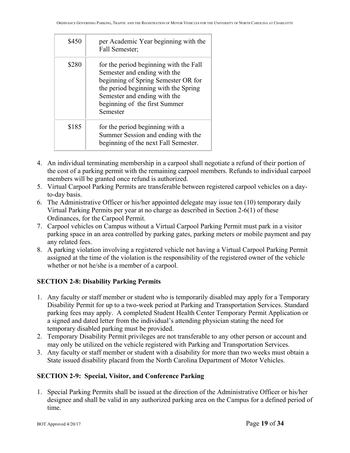| \$450 | per Academic Year beginning with the<br>Fall Semester;                                                                                                                                                                             |
|-------|------------------------------------------------------------------------------------------------------------------------------------------------------------------------------------------------------------------------------------|
| \$280 | for the period beginning with the Fall<br>Semester and ending with the<br>beginning of Spring Semester OR for<br>the period beginning with the Spring<br>Semester and ending with the<br>beginning of the first Summer<br>Semester |
| \$185 | for the period beginning with a<br>Summer Session and ending with the<br>beginning of the next Fall Semester.                                                                                                                      |

- 4. An individual terminating membership in a carpool shall negotiate a refund of their portion of the cost of a parking permit with the remaining carpool members. Refunds to individual carpool members will be granted once refund is authorized.
- 5. Virtual Carpool Parking Permits are transferable between registered carpool vehicles on a dayto-day basis.
- 6. The Administrative Officer or his/her appointed delegate may issue ten (10) temporary daily Virtual Parking Permits per year at no charge as described in Section 2-6(1) of these Ordinances, for the Carpool Permit.
- 7. Carpool vehicles on Campus without a Virtual Carpool Parking Permit must park in a visitor parking space in an area controlled by parking gates, parking meters or mobile payment and pay any related fees.
- 8. A parking violation involving a registered vehicle not having a Virtual Carpool Parking Permit assigned at the time of the violation is the responsibility of the registered owner of the vehicle whether or not he/she is a member of a carpool.

# **SECTION 2-8: Disability Parking Permits**

- 1. Any faculty or staff member or student who is temporarily disabled may apply for a Temporary Disability Permit for up to a two-week period at Parking and Transportation Services. Standard parking fees may apply. A completed Student Health Center Temporary Permit Application or a signed and dated letter from the individual's attending physician stating the need for temporary disabled parking must be provided.
- 2. Temporary Disability Permit privileges are not transferable to any other person or account and may only be utilized on the vehicle registered with Parking and Transportation Services.
- 3. Any faculty or staff member or student with a disability for more than two weeks must obtain a State issued disability placard from the North Carolina Department of Motor Vehicles.

# **SECTION 2-9: Special, Visitor, and Conference Parking**

1. Special Parking Permits shall be issued at the direction of the Administrative Officer or his/her designee and shall be valid in any authorized parking area on the Campus for a defined period of time.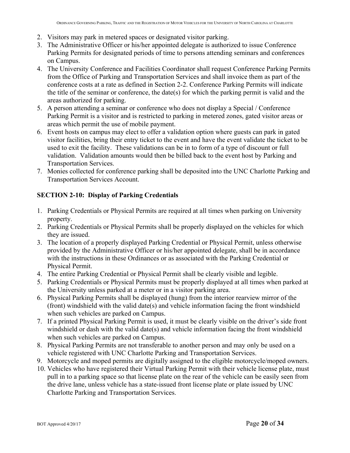- 2. Visitors may park in metered spaces or designated visitor parking.
- 3. The Administrative Officer or his/her appointed delegate is authorized to issue Conference Parking Permits for designated periods of time to persons attending seminars and conferences on Campus.
- 4. The University Conference and Facilities Coordinator shall request Conference Parking Permits from the Office of Parking and Transportation Services and shall invoice them as part of the conference costs at a rate as defined in Section 2-2. Conference Parking Permits will indicate the title of the seminar or conference, the date(s) for which the parking permit is valid and the areas authorized for parking.
- 5. A person attending a seminar or conference who does not display a Special / Conference Parking Permit is a visitor and is restricted to parking in metered zones, gated visitor areas or areas which permit the use of mobile payment.
- 6. Event hosts on campus may elect to offer a validation option where guests can park in gated visitor facilities, bring their entry ticket to the event and have the event validate the ticket to be used to exit the facility. These validations can be in to form of a type of discount or full validation. Validation amounts would then be billed back to the event host by Parking and Transportation Services.
- 7. Monies collected for conference parking shall be deposited into the UNC Charlotte Parking and Transportation Services Account.

#### **SECTION 2-10: Display of Parking Credentials**

- 1. Parking Credentials or Physical Permits are required at all times when parking on University property.
- 2. Parking Credentials or Physical Permits shall be properly displayed on the vehicles for which they are issued.
- 3. The location of a properly displayed Parking Credential or Physical Permit, unless otherwise provided by the Administrative Officer or his/her appointed delegate, shall be in accordance with the instructions in these Ordinances or as associated with the Parking Credential or Physical Permit.
- 4. The entire Parking Credential or Physical Permit shall be clearly visible and legible.
- 5. Parking Credentials or Physical Permits must be properly displayed at all times when parked at the University unless parked at a meter or in a visitor parking area.
- 6. Physical Parking Permits shall be displayed (hung) from the interior rearview mirror of the (front) windshield with the valid date(s) and vehicle information facing the front windshield when such vehicles are parked on Campus.
- 7. If a printed Physical Parking Permit is used, it must be clearly visible on the driver's side front windshield or dash with the valid date(s) and vehicle information facing the front windshield when such vehicles are parked on Campus.
- 8. Physical Parking Permits are not transferable to another person and may only be used on a vehicle registered with UNC Charlotte Parking and Transportation Services.
- 9. Motorcycle and moped permits are digitally assigned to the eligible motorcycle/moped owners.
- 10. Vehicles who have registered their Virtual Parking Permit with their vehicle license plate, must pull in to a parking space so that license plate on the rear of the vehicle can be easily seen from the drive lane, unless vehicle has a state-issued front license plate or plate issued by UNC Charlotte Parking and Transportation Services.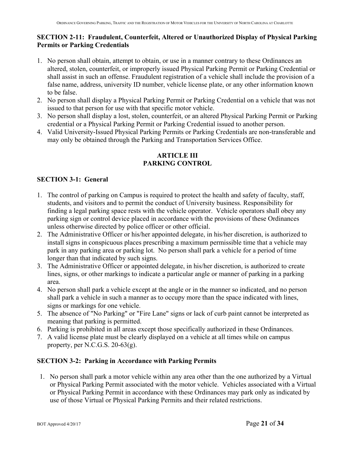#### **SECTION 2-11: Fraudulent, Counterfeit, Altered or Unauthorized Display of Physical Parking Permits or Parking Credentials**

- 1. No person shall obtain, attempt to obtain, or use in a manner contrary to these Ordinances an altered, stolen, counterfeit, or improperly issued Physical Parking Permit or Parking Credential or shall assist in such an offense. Fraudulent registration of a vehicle shall include the provision of a false name, address, university ID number, vehicle license plate, or any other information known to be false.
- 2. No person shall display a Physical Parking Permit or Parking Credential on a vehicle that was not issued to that person for use with that specific motor vehicle.
- 3. No person shall display a lost, stolen, counterfeit, or an altered Physical Parking Permit or Parking credential or a Physical Parking Permit or Parking Credential issued to another person.
- 4. Valid University-Issued Physical Parking Permits or Parking Credentials are non-transferable and may only be obtained through the Parking and Transportation Services Office.

## **ARTICLE III PARKING CONTROL**

## **SECTION 3-1: General**

- 1. The control of parking on Campus is required to protect the health and safety of faculty, staff, students, and visitors and to permit the conduct of University business. Responsibility for finding a legal parking space rests with the vehicle operator. Vehicle operators shall obey any parking sign or control device placed in accordance with the provisions of these Ordinances unless otherwise directed by police officer or other official.
- 2. The Administrative Officer or his/her appointed delegate, in his/her discretion, is authorized to install signs in conspicuous places prescribing a maximum permissible time that a vehicle may park in any parking area or parking lot. No person shall park a vehicle for a period of time longer than that indicated by such signs.
- 3. The Administrative Officer or appointed delegate, in his/her discretion, is authorized to create lines, signs, or other markings to indicate a particular angle or manner of parking in a parking area.
- 4. No person shall park a vehicle except at the angle or in the manner so indicated, and no person shall park a vehicle in such a manner as to occupy more than the space indicated with lines, signs or markings for one vehicle.
- 5. The absence of "No Parking" or "Fire Lane" signs or lack of curb paint cannot be interpreted as meaning that parking is permitted.
- 6. Parking is prohibited in all areas except those specifically authorized in these Ordinances.
- 7. A valid license plate must be clearly displayed on a vehicle at all times while on campus property, per N.C.G.S. 20-63(g).

## **SECTION 3-2: Parking in Accordance with Parking Permits**

1. No person shall park a motor vehicle within any area other than the one authorized by a Virtual or Physical Parking Permit associated with the motor vehicle. Vehicles associated with a Virtual or Physical Parking Permit in accordance with these Ordinances may park only as indicated by use of those Virtual or Physical Parking Permits and their related restrictions.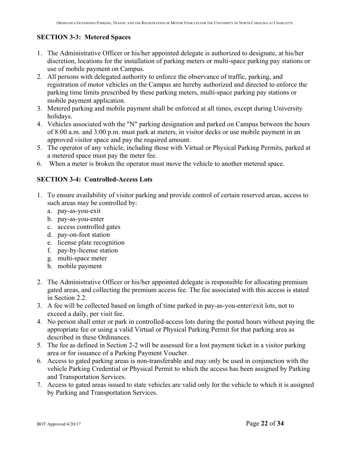# **SECTION 3-3: Metered Spaces**

- 1. The Administrative Officer or his/her appointed delegate is authorized to designate, at his/her discretion, locations for the installation of parking meters or multi-space parking pay stations or use of mobile payment on Campus.
- 2. All persons with delegated authority to enforce the observance of traffic, parking, and registration of motor vehicles on the Campus are hereby authorized and directed to enforce the parking time limits prescribed by these parking meters, multi-space parking pay stations or mobile payment application.
- 3. Metered parking and mobile payment shall be enforced at all times, except during University holidays.
- 4. Vehicles associated with the "N" parking designation and parked on Campus between the hours of 8:00 a.m. and 3:00 p.m. must park at meters, in visitor decks or use mobile payment in an approved visitor space and pay the required amount.
- 5. The operator of any vehicle, including those with Virtual or Physical Parking Permits, parked at a metered space must pay the meter fee.
- 6. When a meter is broken the operator must move the vehicle to another metered space.

## **SECTION 3-4: Controlled-Access Lots**

- 1. To ensure availability of visitor parking and provide control of certain reserved areas, access to such areas may be controlled by:
	- a. pay-as-you-exit
	- b. pay-as-you-enter
	- c. access controlled gates
	- d. pay-on-foot station
	- e. license plate recognition
	- f. pay-by-license station
	- g. multi-space meter
	- h. mobile payment
- 2. The Administrative Officer or his/her appointed delegate is responsible for allocating premium gated areas, and collecting the premium access fee. The fee associated with this access is stated in Section 2.2.
- 3. A fee will be collected based on length of time parked in pay-as-you-enter/exit lots, not to exceed a daily, per visit fee.
- 4. No person shall enter or park in controlled-access lots during the posted hours without paying the appropriate fee or using a valid Virtual or Physical Parking Permit for that parking area as described in these Ordinances.
- 5. The fee as defined in Section 2-2 will be assessed for a lost payment ticket in a visitor parking area or for issuance of a Parking Payment Voucher.
- 6. Access to gated parking areas is non-transferable and may only be used in conjunction with the vehicle Parking Credential or Physical Permit to which the access has been assigned by Parking and Transportation Services.
- 7. Access to gated areas issued to state vehicles are valid only for the vehicle to which it is assigned by Parking and Transportation Services.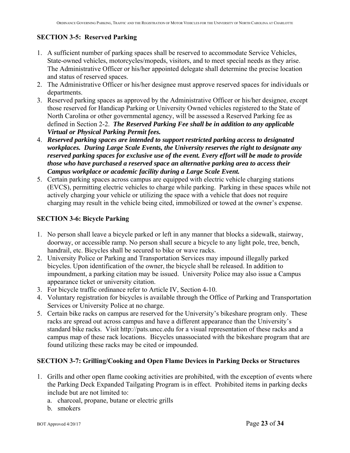# **SECTION 3-5: Reserved Parking**

- 1. A sufficient number of parking spaces shall be reserved to accommodate Service Vehicles, State-owned vehicles, motorcycles/mopeds, visitors, and to meet special needs as they arise. The Administrative Officer or his/her appointed delegate shall determine the precise location and status of reserved spaces.
- 2. The Administrative Officer or his/her designee must approve reserved spaces for individuals or departments.
- 3. Reserved parking spaces as approved by the Administrative Officer or his/her designee, except those reserved for Handicap Parking or University Owned vehicles registered to the State of North Carolina or other governmental agency, will be assessed a Reserved Parking fee as defined in Section 2-2. *The Reserved Parking Fee shall be in addition to any applicable Virtual or Physical Parking Permit fees.*
- 4. *Reserved parking spaces are intended to support restricted parking access to designated workplaces. During Large Scale Events, the University reserves the right to designate any reserved parking spaces for exclusive use of the event. Every effort will be made to provide those who have purchased a reserved space an alternative parking area to access their Campus workplace or academic facility during a Large Scale Event.*
- 5. Certain parking spaces across campus are equipped with electric vehicle charging stations (EVCS), permitting electric vehicles to charge while parking. Parking in these spaces while not actively charging your vehicle or utilizing the space with a vehicle that does not require charging may result in the vehicle being cited, immobilized or towed at the owner's expense.

## **SECTION 3-6: Bicycle Parking**

- 1. No person shall leave a bicycle parked or left in any manner that blocks a sidewalk, stairway, doorway, or accessible ramp. No person shall secure a bicycle to any light pole, tree, bench, handrail, etc. Bicycles shall be secured to bike or wave racks.
- 2. University Police or Parking and Transportation Services may impound illegally parked bicycles. Upon identification of the owner, the bicycle shall be released. In addition to impoundment, a parking citation may be issued. University Police may also issue a Campus appearance ticket or university citation.
- 3. For bicycle traffic ordinance refer to Article IV, Section 4-10.
- 4. Voluntary registration for bicycles is available through the Office of Parking and Transportation Services or University Police at no charge.
- 5. Certain bike racks on campus are reserved for the University's bikeshare program only. These racks are spread out across campus and have a different appearance than the University's standard bike racks. Visit http://pats.uncc.edu for a visual representation of these racks and a campus map of these rack locations. Bicycles unassociated with the bikeshare program that are found utilizing these racks may be cited or impounded.

## **SECTION 3-7: Grilling/Cooking and Open Flame Devices in Parking Decks or Structures**

- 1. Grills and other open flame cooking activities are prohibited, with the exception of events where the Parking Deck Expanded Tailgating Program is in effect. Prohibited items in parking decks include but are not limited to:
	- a. charcoal, propane, butane or electric grills
	- b. smokers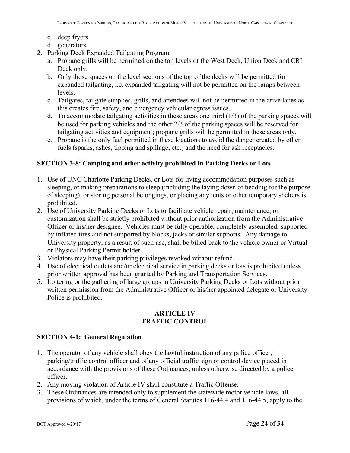- c. deep fryers
- d. generators
- 2. Parking Deck Expanded Tailgating Program
	- a. Propane grills will be permitted on the top levels of the West Deck, Union Deck and CRI Deck only.
	- b. Only those spaces on the level sections of the top of the decks will be permitted for expanded tailgating, i.e. expanded tailgating will not be permitted on the ramps between levels.
	- c. Tailgates, tailgate supplies, grills, and attendees will not be permitted in the drive lanes as this creates fire, safety, and emergency vehicular egress issues.
	- d. To accommodate tailgating activities in these areas one third  $(1/3)$  of the parking spaces will be used for parking vehicles and the other 2/3 of the parking spaces will be reserved for tailgating activities and equipment; propane grills will be permitted in these areas only.
	- e. Propane is the only fuel permitted in these locations to avoid the danger created by other fuels (sparks, ashes, tipping and spillage, etc.) and the need for ash receptacles.

#### **SECTION 3-8: Camping and other activity prohibited in Parking Decks or Lots**

- 1. Use of UNC Charlotte Parking Decks, or Lots for living accommodation purposes such as sleeping, or making preparations to sleep (including the laying down of bedding for the purpose of sleeping), or storing personal belongings, or placing any tents or other temporary shelters is prohibited.
- 2. Use of University Parking Decks or Lots to facilitate vehicle repair, maintenance, or customization shall be strictly prohibited without prior authorization from the Administrative Officer or his/her designee. Vehicles must be fully operable, completely assembled, supported by inflated tires and not supported by blocks, jacks or similar supports. Any damage to University property, as a result of such use, shall be billed back to the vehicle owner or Virtual or Physical Parking Permit holder.
- 3. Violators may have their parking privileges revoked without refund.
- 4. Use of electrical outlets and/or electrical service in parking decks or lots is prohibited unless prior written approval has been granted by Parking and Transportation Services.
- 5. Loitering or the gathering of large groups in University Parking Decks or Lots without prior written permission from the Administrative Officer or his/her appointed delegate or University Police is prohibited.

#### **ARTICLE IV TRAFFIC CONTROL**

#### **SECTION 4-1: General Regulation**

- 1. The operator of any vehicle shall obey the lawful instruction of any police officer, parking/traffic control officer and of any official traffic sign or control device placed in accordance with the provisions of these Ordinances, unless otherwise directed by a police officer.
- 2. Any moving violation of Article IV shall constitute a Traffic Offense.
- 3. These Ordinances are intended only to supplement the statewide motor vehicle laws, all provisions of which, under the terms of General Statutes 116-44.4 and 116-44.5, apply to the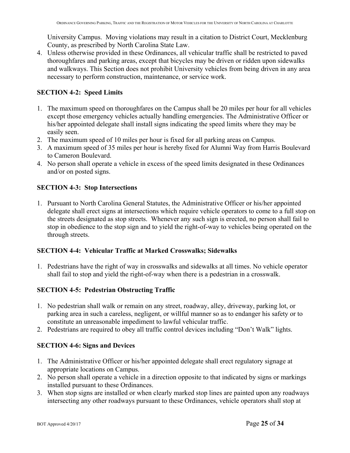University Campus. Moving violations may result in a citation to District Court, Mecklenburg County, as prescribed by North Carolina State Law.

4. Unless otherwise provided in these Ordinances, all vehicular traffic shall be restricted to paved thoroughfares and parking areas, except that bicycles may be driven or ridden upon sidewalks and walkways. This Section does not prohibit University vehicles from being driven in any area necessary to perform construction, maintenance, or service work.

## **SECTION 4-2: Speed Limits**

- 1. The maximum speed on thoroughfares on the Campus shall be 20 miles per hour for all vehicles except those emergency vehicles actually handling emergencies. The Administrative Officer or his/her appointed delegate shall install signs indicating the speed limits where they may be easily seen.
- 2. The maximum speed of 10 miles per hour is fixed for all parking areas on Campus.
- 3. A maximum speed of 35 miles per hour is hereby fixed for Alumni Way from Harris Boulevard to Cameron Boulevard.
- 4. No person shall operate a vehicle in excess of the speed limits designated in these Ordinances and/or on posted signs.

## **SECTION 4-3: Stop Intersections**

1. Pursuant to North Carolina General Statutes, the Administrative Officer or his/her appointed delegate shall erect signs at intersections which require vehicle operators to come to a full stop on the streets designated as stop streets. Whenever any such sign is erected, no person shall fail to stop in obedience to the stop sign and to yield the right-of-way to vehicles being operated on the through streets.

#### **SECTION 4-4: Vehicular Traffic at Marked Crosswalks; Sidewalks**

1. Pedestrians have the right of way in crosswalks and sidewalks at all times. No vehicle operator shall fail to stop and yield the right-of-way when there is a pedestrian in a crosswalk.

## **SECTION 4-5: Pedestrian Obstructing Traffic**

- 1. No pedestrian shall walk or remain on any street, roadway, alley, driveway, parking lot, or parking area in such a careless, negligent, or willful manner so as to endanger his safety or to constitute an unreasonable impediment to lawful vehicular traffic.
- 2. Pedestrians are required to obey all traffic control devices including "Don't Walk" lights.

## **SECTION 4-6: Signs and Devices**

- 1. The Administrative Officer or his/her appointed delegate shall erect regulatory signage at appropriate locations on Campus.
- 2. No person shall operate a vehicle in a direction opposite to that indicated by signs or markings installed pursuant to these Ordinances.
- 3. When stop signs are installed or when clearly marked stop lines are painted upon any roadways intersecting any other roadways pursuant to these Ordinances, vehicle operators shall stop at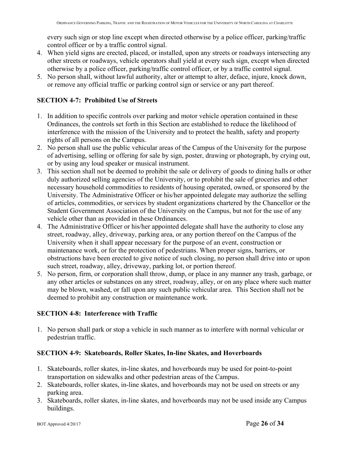every such sign or stop line except when directed otherwise by a police officer, parking/traffic control officer or by a traffic control signal.

- 4. When yield signs are erected, placed, or installed, upon any streets or roadways intersecting any other streets or roadways, vehicle operators shall yield at every such sign, except when directed otherwise by a police officer, parking/traffic control officer, or by a traffic control signal.
- 5. No person shall, without lawful authority, alter or attempt to alter, deface, injure, knock down, or remove any official traffic or parking control sign or service or any part thereof.

## **SECTION 4-7: Prohibited Use of Streets**

- 1. In addition to specific controls over parking and motor vehicle operation contained in these Ordinances, the controls set forth in this Section are established to reduce the likelihood of interference with the mission of the University and to protect the health, safety and property rights of all persons on the Campus.
- 2. No person shall use the public vehicular areas of the Campus of the University for the purpose of advertising, selling or offering for sale by sign, poster, drawing or photograph, by crying out, or by using any loud speaker or musical instrument.
- 3. This section shall not be deemed to prohibit the sale or delivery of goods to dining halls or other duly authorized selling agencies of the University, or to prohibit the sale of groceries and other necessary household commodities to residents of housing operated, owned, or sponsored by the University. The Administrative Officer or his/her appointed delegate may authorize the selling of articles, commodities, or services by student organizations chartered by the Chancellor or the Student Government Association of the University on the Campus, but not for the use of any vehicle other than as provided in these Ordinances.
- 4. The Administrative Officer or his/her appointed delegate shall have the authority to close any street, roadway, alley, driveway, parking area, or any portion thereof on the Campus of the University when it shall appear necessary for the purpose of an event, construction or maintenance work, or for the protection of pedestrians. When proper signs, barriers, or obstructions have been erected to give notice of such closing, no person shall drive into or upon such street, roadway, alley, driveway, parking lot, or portion thereof.
- 5. No person, firm, or corporation shall throw, dump, or place in any manner any trash, garbage, or any other articles or substances on any street, roadway, alley, or on any place where such matter may be blown, washed, or fall upon any such public vehicular area. This Section shall not be deemed to prohibit any construction or maintenance work.

## **SECTION 4-8: Interference with Traffic**

1. No person shall park or stop a vehicle in such manner as to interfere with normal vehicular or pedestrian traffic.

## **SECTION 4-9: Skateboards, Roller Skates, In-line Skates, and Hoverboards**

- 1. Skateboards, roller skates, in-line skates, and hoverboards may be used for point-to-point transportation on sidewalks and other pedestrian areas of the Campus.
- 2. Skateboards, roller skates, in-line skates, and hoverboards may not be used on streets or any parking area.
- 3. Skateboards, roller skates, in-line skates, and hoverboards may not be used inside any Campus buildings.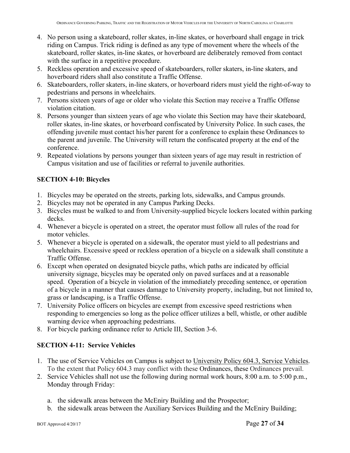- 4. No person using a skateboard, roller skates, in-line skates, or hoverboard shall engage in trick riding on Campus. Trick riding is defined as any type of movement where the wheels of the skateboard, roller skates, in-line skates, or hoverboard are deliberately removed from contact with the surface in a repetitive procedure.
- 5. Reckless operation and excessive speed of skateboarders, roller skaters, in-line skaters, and hoverboard riders shall also constitute a Traffic Offense.
- 6. Skateboarders, roller skaters, in-line skaters, or hoverboard riders must yield the right-of-way to pedestrians and persons in wheelchairs.
- 7. Persons sixteen years of age or older who violate this Section may receive a Traffic Offense violation citation.
- 8. Persons younger than sixteen years of age who violate this Section may have their skateboard, roller skates, in-line skates, or hoverboard confiscated by University Police. In such cases, the offending juvenile must contact his/her parent for a conference to explain these Ordinances to the parent and juvenile. The University will return the confiscated property at the end of the conference.
- 9. Repeated violations by persons younger than sixteen years of age may result in restriction of Campus visitation and use of facilities or referral to juvenile authorities.

# **SECTION 4-10: Bicycles**

- 1. Bicycles may be operated on the streets, parking lots, sidewalks, and Campus grounds.
- 2. Bicycles may not be operated in any Campus Parking Decks.
- 3. Bicycles must be walked to and from University-supplied bicycle lockers located within parking decks.
- 4. Whenever a bicycle is operated on a street, the operator must follow all rules of the road for motor vehicles.
- 5. Whenever a bicycle is operated on a sidewalk, the operator must yield to all pedestrians and wheelchairs. Excessive speed or reckless operation of a bicycle on a sidewalk shall constitute a Traffic Offense.
- 6. Except when operated on designated bicycle paths, which paths are indicated by official university signage, bicycles may be operated only on paved surfaces and at a reasonable speed. Operation of a bicycle in violation of the immediately preceding sentence, or operation of a bicycle in a manner that causes damage to University property, including, but not limited to, grass or landscaping, is a Traffic Offense.
- 7. University Police officers on bicycles are exempt from excessive speed restrictions when responding to emergencies so long as the police officer utilizes a bell, whistle, or other audible warning device when approaching pedestrians.
- 8. For bicycle parking ordinance refer to Article III, Section 3-6.

# **SECTION 4-11: Service Vehicles**

- 1. The use of Service Vehicles on Campus is subject to University Policy 604.3, Service Vehicles. To the extent that Policy 604.3 may conflict with these Ordinances, these Ordinances prevail.
- 2. Service Vehicles shall not use the following during normal work hours, 8:00 a.m. to 5:00 p.m., Monday through Friday:
	- a. the sidewalk areas between the McEniry Building and the Prospector;
	- b. the sidewalk areas between the Auxiliary Services Building and the McEniry Building;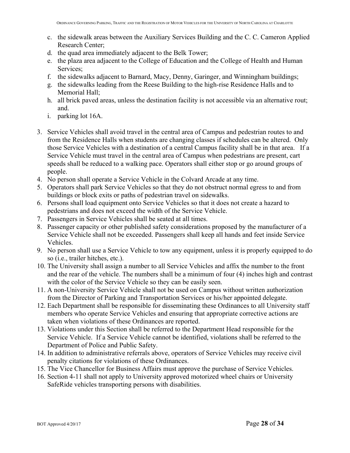- c. the sidewalk areas between the Auxiliary Services Building and the C. C. Cameron Applied Research Center;
- d. the quad area immediately adjacent to the Belk Tower;
- e. the plaza area adjacent to the College of Education and the College of Health and Human Services;
- f. the sidewalks adjacent to Barnard, Macy, Denny, Garinger, and Winningham buildings;
- g. the sidewalks leading from the Reese Building to the high-rise Residence Halls and to Memorial Hall;
- h. all brick paved areas, unless the destination facility is not accessible via an alternative rout; and.
- i. parking lot 16A.
- 3. Service Vehicles shall avoid travel in the central area of Campus and pedestrian routes to and from the Residence Halls when students are changing classes if schedules can be altered. Only those Service Vehicles with a destination of a central Campus facility shall be in that area. If a Service Vehicle must travel in the central area of Campus when pedestrians are present, cart speeds shall be reduced to a walking pace. Operators shall either stop or go around groups of people.
- 4. No person shall operate a Service Vehicle in the Colvard Arcade at any time.
- 5. Operators shall park Service Vehicles so that they do not obstruct normal egress to and from buildings or block exits or paths of pedestrian travel on sidewalks.
- 6. Persons shall load equipment onto Service Vehicles so that it does not create a hazard to pedestrians and does not exceed the width of the Service Vehicle.
- 7. Passengers in Service Vehicles shall be seated at all times.
- 8. Passenger capacity or other published safety considerations proposed by the manufacturer of a Service Vehicle shall not be exceeded. Passengers shall keep all hands and feet inside Service Vehicles.
- 9. No person shall use a Service Vehicle to tow any equipment, unless it is properly equipped to do so (i.e., trailer hitches, etc.).
- 10. The University shall assign a number to all Service Vehicles and affix the number to the front and the rear of the vehicle. The numbers shall be a minimum of four (4) inches high and contrast with the color of the Service Vehicle so they can be easily seen.
- 11. A non-University Service Vehicle shall not be used on Campus without written authorization from the Director of Parking and Transportation Services or his/her appointed delegate.
- 12. Each Department shall be responsible for disseminating these Ordinances to all University staff members who operate Service Vehicles and ensuring that appropriate corrective actions are taken when violations of these Ordinances are reported.
- 13. Violations under this Section shall be referred to the Department Head responsible for the Service Vehicle. If a Service Vehicle cannot be identified, violations shall be referred to the Department of Police and Public Safety.
- 14. In addition to administrative referrals above, operators of Service Vehicles may receive civil penalty citations for violations of these Ordinances.
- 15. The Vice Chancellor for Business Affairs must approve the purchase of Service Vehicles.
- 16. Section 4-11 shall not apply to University approved motorized wheel chairs or University SafeRide vehicles transporting persons with disabilities.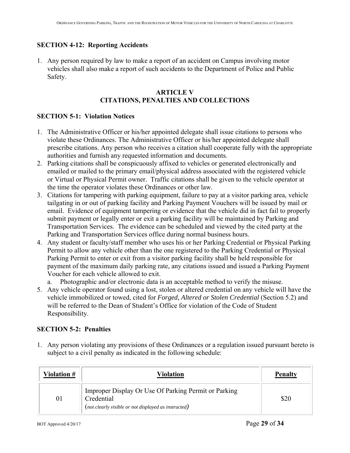#### **SECTION 4-12: Reporting Accidents**

1. Any person required by law to make a report of an accident on Campus involving motor vehicles shall also make a report of such accidents to the Department of Police and Public Safety.

#### **ARTICLE V CITATIONS, PENALTIES AND COLLECTIONS**

#### **SECTION 5-1: Violation Notices**

- 1. The Administrative Officer or his/her appointed delegate shall issue citations to persons who violate these Ordinances. The Administrative Officer or his/her appointed delegate shall prescribe citations. Any person who receives a citation shall cooperate fully with the appropriate authorities and furnish any requested information and documents.
- 2. Parking citations shall be conspicuously affixed to vehicles or generated electronically and emailed or mailed to the primary email/physical address associated with the registered vehicle or Virtual or Physical Permit owner. Traffic citations shall be given to the vehicle operator at the time the operator violates these Ordinances or other law.
- 3. Citations for tampering with parking equipment, failure to pay at a visitor parking area, vehicle tailgating in or out of parking facility and Parking Payment Vouchers will be issued by mail or email. Evidence of equipment tampering or evidence that the vehicle did in fact fail to properly submit payment or legally enter or exit a parking facility will be maintained by Parking and Transportation Services. The evidence can be scheduled and viewed by the cited party at the Parking and Transportation Services office during normal business hours.
- 4. Any student or faculty/staff member who uses his or her Parking Credential or Physical Parking Permit to allow any vehicle other than the one registered to the Parking Credential or Physical Parking Permit to enter or exit from a visitor parking facility shall be held responsible for payment of the maximum daily parking rate, any citations issued and issued a Parking Payment Voucher for each vehicle allowed to exit.

a. Photographic and/or electronic data is an acceptable method to verify the misuse.

5. Any vehicle operator found using a lost, stolen or altered credential on any vehicle will have the vehicle immobilized or towed, cited for *Forged, Altered or Stolen Credential* (Section 5.2) and will be referred to the Dean of Student's Office for violation of the Code of Student Responsibility.

## **SECTION 5-2: Penalties**

1. Any person violating any provisions of these Ordinances or a regulation issued pursuant hereto is subject to a civil penalty as indicated in the following schedule:

| Violation # | Violation                                                                                                                  | <b>Penalty</b> |
|-------------|----------------------------------------------------------------------------------------------------------------------------|----------------|
| 01          | Improper Display Or Use Of Parking Permit or Parking<br>Credential<br>(not clearly visible or not displayed as instructed) |                |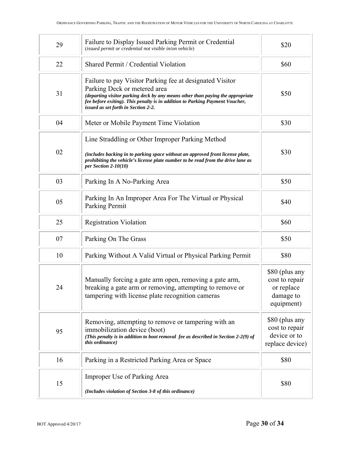| 29 | Failure to Display Issued Parking Permit or Credential<br>(issued permit or credential not visible in/on vehicle)                                                                                                                                                                                 | \$20                                                                      |
|----|---------------------------------------------------------------------------------------------------------------------------------------------------------------------------------------------------------------------------------------------------------------------------------------------------|---------------------------------------------------------------------------|
| 22 | Shared Permit / Credential Violation                                                                                                                                                                                                                                                              | \$60                                                                      |
| 31 | Failure to pay Visitor Parking fee at designated Visitor<br>Parking Deck or metered area<br>(departing visitor parking deck by any means other than paying the appropriate<br>fee before exiting). This penalty is in addition to Parking Payment Voucher,<br>issued as set forth in Section 2-2. | \$50                                                                      |
| 04 | Meter or Mobile Payment Time Violation                                                                                                                                                                                                                                                            | \$30                                                                      |
| 02 | Line Straddling or Other Improper Parking Method<br>(includes backing in to parking space without an approved front license plate,<br>prohibiting the vehicle's license plate number to be read from the drive lane as<br>per Section $2-10(10)$                                                  | \$30                                                                      |
| 03 | Parking In A No-Parking Area                                                                                                                                                                                                                                                                      | \$50                                                                      |
| 05 | Parking In An Improper Area For The Virtual or Physical<br>Parking Permit                                                                                                                                                                                                                         | \$40                                                                      |
| 25 | <b>Registration Violation</b>                                                                                                                                                                                                                                                                     | \$60                                                                      |
| 07 | Parking On The Grass                                                                                                                                                                                                                                                                              | \$50                                                                      |
| 10 | Parking Without A Valid Virtual or Physical Parking Permit                                                                                                                                                                                                                                        | \$80                                                                      |
| 24 | Manually forcing a gate arm open, removing a gate arm,<br>breaking a gate arm or removing, attempting to remove or<br>tampering with license plate recognition cameras                                                                                                                            | \$80 (plus any<br>cost to repair<br>or replace<br>damage to<br>equipment) |
| 95 | Removing, attempting to remove or tampering with an<br>immobilization device (boot)<br>(This penalty is in addition to boot removal fee as described in Section 2-2(9) of<br><i>this ordinance</i> )                                                                                              | \$80 (plus any<br>cost to repair<br>device or to<br>replace device)       |
| 16 | Parking in a Restricted Parking Area or Space                                                                                                                                                                                                                                                     | \$80                                                                      |
| 15 | Improper Use of Parking Area<br>(Includes violation of Section 3-8 of this ordinance)                                                                                                                                                                                                             | \$80                                                                      |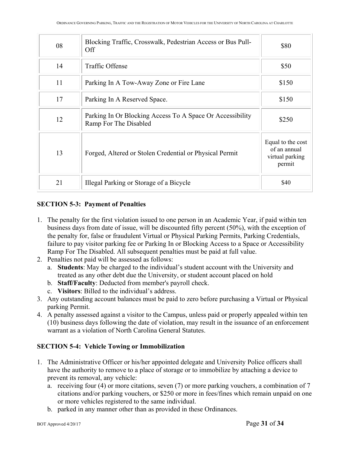| 08 | Blocking Traffic, Crosswalk, Pedestrian Access or Bus Pull-<br>Off                 | \$80                                                           |
|----|------------------------------------------------------------------------------------|----------------------------------------------------------------|
| 14 | Traffic Offense                                                                    | \$50                                                           |
| 11 | Parking In A Tow-Away Zone or Fire Lane                                            | \$150                                                          |
| 17 | Parking In A Reserved Space.                                                       | \$150                                                          |
| 12 | Parking In Or Blocking Access To A Space Or Accessibility<br>Ramp For The Disabled | \$250                                                          |
| 13 | Forged, Altered or Stolen Credential or Physical Permit                            | Equal to the cost<br>of an annual<br>virtual parking<br>permit |
| 21 | Illegal Parking or Storage of a Bicycle                                            | \$40                                                           |

## **SECTION 5-3: Payment of Penalties**

- 1. The penalty for the first violation issued to one person in an Academic Year, if paid within ten business days from date of issue, will be discounted fifty percent (50%), with the exception of the penalty for, false or fraudulent Virtual or Physical Parking Permits, Parking Credentials, failure to pay visitor parking fee or Parking In or Blocking Access to a Space or Accessibility Ramp For The Disabled. All subsequent penalties must be paid at full value.
- 2. Penalties not paid will be assessed as follows:
	- a. **Students**: May be charged to the individual's student account with the University and treated as any other debt due the University, or student account placed on hold
	- b. **Staff/Faculty**: Deducted from member's payroll check.
	- c. **Visitors**: Billed to the individual's address.
- 3. Any outstanding account balances must be paid to zero before purchasing a Virtual or Physical parking Permit.
- 4. A penalty assessed against a visitor to the Campus, unless paid or properly appealed within ten (10) business days following the date of violation, may result in the issuance of an enforcement warrant as a violation of North Carolina General Statutes.

# **SECTION 5-4: Vehicle Towing or Immobilization**

- 1. The Administrative Officer or his/her appointed delegate and University Police officers shall have the authority to remove to a place of storage or to immobilize by attaching a device to prevent its removal, any vehicle:
	- a. receiving four (4) or more citations, seven (7) or more parking vouchers, a combination of 7 citations and/or parking vouchers, or \$250 or more in fees/fines which remain unpaid on one or more vehicles registered to the same individual.
	- b. parked in any manner other than as provided in these Ordinances.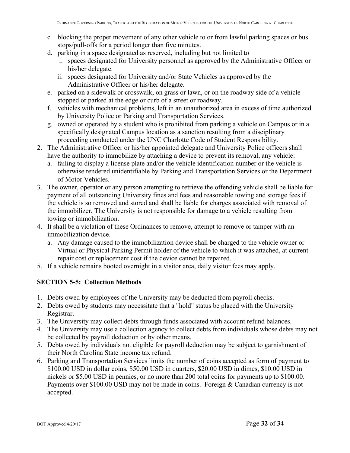- c. blocking the proper movement of any other vehicle to or from lawful parking spaces or bus stops/pull-offs for a period longer than five minutes.
- d. parking in a space designated as reserved, including but not limited to
	- i. spaces designated for University personnel as approved by the Administrative Officer or his/her delegate.
	- ii. spaces designated for University and/or State Vehicles as approved by the Administrative Officer or his/her delegate.
- e. parked on a sidewalk or crosswalk, on grass or lawn, or on the roadway side of a vehicle stopped or parked at the edge or curb of a street or roadway.
- f. vehicles with mechanical problems, left in an unauthorized area in excess of time authorized by University Police or Parking and Transportation Services.
- g. owned or operated by a student who is prohibited from parking a vehicle on Campus or in a specifically designated Campus location as a sanction resulting from a disciplinary proceeding conducted under the UNC Charlotte Code of Student Responsibility.
- 2. The Administrative Officer or his/her appointed delegate and University Police officers shall have the authority to immobilize by attaching a device to prevent its removal, any vehicle:
	- a. failing to display a license plate and/or the vehicle identification number or the vehicle is otherwise rendered unidentifiable by Parking and Transportation Services or the Department of Motor Vehicles.
- 3. The owner, operator or any person attempting to retrieve the offending vehicle shall be liable for payment of all outstanding University fines and fees and reasonable towing and storage fees if the vehicle is so removed and stored and shall be liable for charges associated with removal of the immobilizer. The University is not responsible for damage to a vehicle resulting from towing or immobilization.
- 4. It shall be a violation of these Ordinances to remove, attempt to remove or tamper with an immobilization device.
	- a. Any damage caused to the immobilization device shall be charged to the vehicle owner or Virtual or Physical Parking Permit holder of the vehicle to which it was attached, at current repair cost or replacement cost if the device cannot be repaired.
- 5. If a vehicle remains booted overnight in a visitor area, daily visitor fees may apply.

## **SECTION 5-5: Collection Methods**

- 1. Debts owed by employees of the University may be deducted from payroll checks.
- 2. Debts owed by students may necessitate that a "hold" status be placed with the University Registrar.
- 3. The University may collect debts through funds associated with account refund balances.
- 4. The University may use a collection agency to collect debts from individuals whose debts may not be collected by payroll deduction or by other means.
- 5. Debts owed by individuals not eligible for payroll deduction may be subject to garnishment of their North Carolina State income tax refund.
- 6. Parking and Transportation Services limits the number of coins accepted as form of payment to \$100.00 USD in dollar coins, \$50.00 USD in quarters, \$20.00 USD in dimes, \$10.00 USD in nickels or \$5.00 USD in pennies, or no more than 200 total coins for payments up to \$100.00. Payments over \$100.00 USD may not be made in coins. Foreign & Canadian currency is not accepted.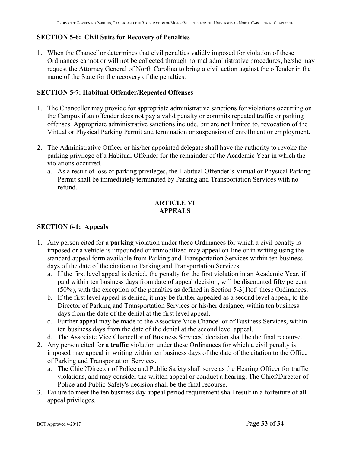## **SECTION 5-6: Civil Suits for Recovery of Penalties**

1. When the Chancellor determines that civil penalties validly imposed for violation of these Ordinances cannot or will not be collected through normal administrative procedures, he/she may request the Attorney General of North Carolina to bring a civil action against the offender in the name of the State for the recovery of the penalties.

## **SECTION 5-7: Habitual Offender/Repeated Offenses**

- 1. The Chancellor may provide for appropriate administrative sanctions for violations occurring on the Campus if an offender does not pay a valid penalty or commits repeated traffic or parking offenses. Appropriate administrative sanctions include, but are not limited to, revocation of the Virtual or Physical Parking Permit and termination or suspension of enrollment or employment.
- 2. The Administrative Officer or his/her appointed delegate shall have the authority to revoke the parking privilege of a Habitual Offender for the remainder of the Academic Year in which the violations occurred.
	- a. As a result of loss of parking privileges, the Habitual Offender's Virtual or Physical Parking Permit shall be immediately terminated by Parking and Transportation Services with no refund.

## **ARTICLE VI APPEALS**

## **SECTION 6-1: Appeals**

- 1. Any person cited for a **parking** violation under these Ordinances for which a civil penalty is imposed or a vehicle is impounded or immobilized may appeal on-line or in writing using the standard appeal form available from Parking and Transportation Services within ten business days of the date of the citation to Parking and Transportation Services.
	- a. If the first level appeal is denied, the penalty for the first violation in an Academic Year, if paid within ten business days from date of appeal decision, will be discounted fifty percent (50%), with the exception of the penalties as defined in Section 5-3(1)of these Ordinances.
	- b. If the first level appeal is denied, it may be further appealed as a second level appeal, to the Director of Parking and Transportation Services or his/her designee, within ten business days from the date of the denial at the first level appeal.
	- c. Further appeal may be made to the Associate Vice Chancellor of Business Services, within ten business days from the date of the denial at the second level appeal.
	- d. The Associate Vice Chancellor of Business Services' decision shall be the final recourse.
- 2. Any person cited for a **traffic** violation under these Ordinances for which a civil penalty is imposed may appeal in writing within ten business days of the date of the citation to the Office of Parking and Transportation Services.
	- a. The Chief/Director of Police and Public Safety shall serve as the Hearing Officer for traffic violations, and may consider the written appeal or conduct a hearing. The Chief/Director of Police and Public Safety's decision shall be the final recourse.
- 3. Failure to meet the ten business day appeal period requirement shall result in a forfeiture of all appeal privileges.